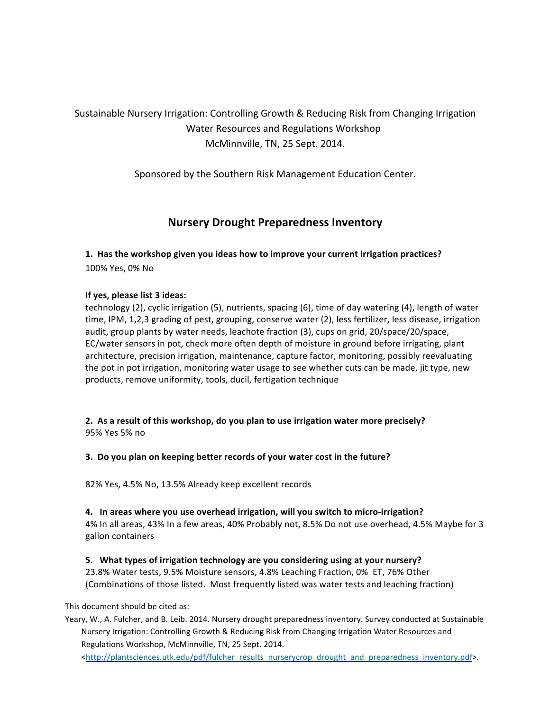# Sustainable Nursery Irrigation: Controlling Growth & Reducing Risk from Changing Irrigation Water Resources and Regulations Workshop McMinnville, TN, 25 Sept. 2014.

Sponsored by the Southern Risk Management Education Center.

# **Nursery Drought Preparedness Inventory**

## **1.** Has the workshop given you ideas how to improve your current irrigation practices? 100% Yes, 0% No

### **If yes, please list 3 ideas:**

technology  $(2)$ , cyclic irrigation  $(5)$ , nutrients, spacing  $(6)$ , time of day watering  $(4)$ , length of water time, IPM, 1,2,3 grading of pest, grouping, conserve water  $(2)$ , less fertilizer, less disease, irrigation audit, group plants by water needs, leachote fraction (3), cups on grid, 20/space/20/space, EC/water sensors in pot, check more often depth of moisture in ground before irrigating, plant architecture, precision irrigation, maintenance, capture factor, monitoring, possibly reevaluating the pot in pot irrigation, monitoring water usage to see whether cuts can be made, jit type, new products, remove uniformity, tools, ducil, fertigation technique

**2.** As a result of this workshop, do you plan to use irrigation water more precisely? 95% Yes 5% no

#### **3.** Do you plan on keeping better records of your water cost in the future?

82% Yes, 4.5% No, 13.5% Already keep excellent records

#### **4.** In areas where you use overhead irrigation, will you switch to micro-irrigation?

4% In all areas, 43% In a few areas, 40% Probably not, 8.5% Do not use overhead, 4.5% Maybe for 3 gallon containers 

#### **5.** What types of irrigation technology are you considering using at your nursery?

23.8% Water tests, 9.5% Moisture sensors, 4.8% Leaching Fraction, 0% ET, 76% Other (Combinations of those listed. Most frequently listed was water tests and leaching fraction)

This document should be cited as:

Yeary, W., A. Fulcher, and B. Leib. 2014. Nursery drought preparedness inventory. Survey conducted at Sustainable Nursery Irrigation: Controlling Growth & Reducing Risk from Changing Irrigation Water Resources and Regulations Workshop, McMinnville, TN, 25 Sept. 2014.

<http://plantsciences.utk.edu/pdf/fulcher\_results\_nurserycrop\_drought\_and\_preparedness\_inventory.pdf>.